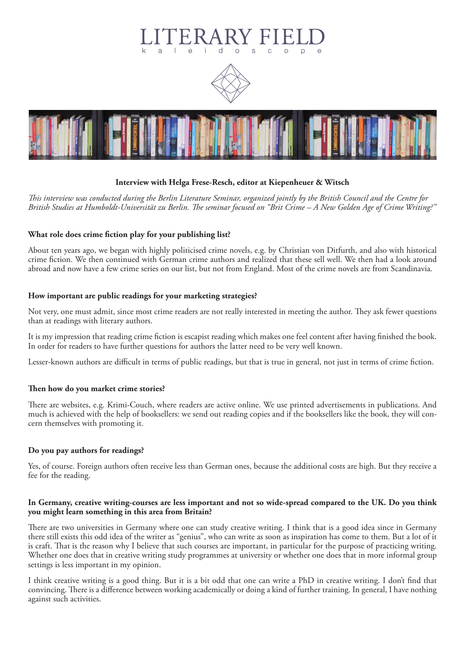# $\circ$  $\Delta$  $\overline{D}$





# **Interview with Helga Frese-Resch, editor at Kiepenheuer & Witsch**

*This interview was conducted during the Berlin Literature Seminar, organized jointly by the British Council and the Centre for British Studies at Humboldt-Universität zu Berlin. The seminar focused on "Brit Crime – A New Golden Age of Crime Writing?"*

# **What role does crime fiction play for your publishing list?**

About ten years ago, we began with highly politicised crime novels, e.g. by Christian von Ditfurth, and also with historical crime fiction. We then continued with German crime authors and realized that these sell well. We then had a look around abroad and now have a few crime series on our list, but not from England. Most of the crime novels are from Scandinavia.

### **How important are public readings for your marketing strategies?**

Not very, one must admit, since most crime readers are not really interested in meeting the author. They ask fewer questions than at readings with literary authors.

It is my impression that reading crime fiction is escapist reading which makes one feel content after having finished the book. In order for readers to have further questions for authors the latter need to be very well known.

Lesser-known authors are difficult in terms of public readings, but that is true in general, not just in terms of crime fiction.

### **Then how do you market crime stories?**

There are websites, e.g. Krimi-Couch, where readers are active online. We use printed advertisements in publications. And much is achieved with the help of booksellers: we send out reading copies and if the booksellers like the book, they will concern themselves with promoting it.

### **Do you pay authors for readings?**

Yes, of course. Foreign authors often receive less than German ones, because the additional costs are high. But they receive a fee for the reading.

### **In Germany, creative writing-courses are less important and not so wide-spread compared to the UK. Do you think you might learn something in this area from Britain?**

There are two universities in Germany where one can study creative writing. I think that is a good idea since in Germany there still exists this odd idea of the writer as "genius", who can write as soon as inspiration has come to them. But a lot of it is craft. That is the reason why I believe that such courses are important, in particular for the purpose of practicing writing. Whether one does that in creative writing study programmes at university or whether one does that in more informal group settings is less important in my opinion.

I think creative writing is a good thing. But it is a bit odd that one can write a PhD in creative writing. I don't find that convincing. There is a difference between working academically or doing a kind of further training. In general, I have nothing against such activities.